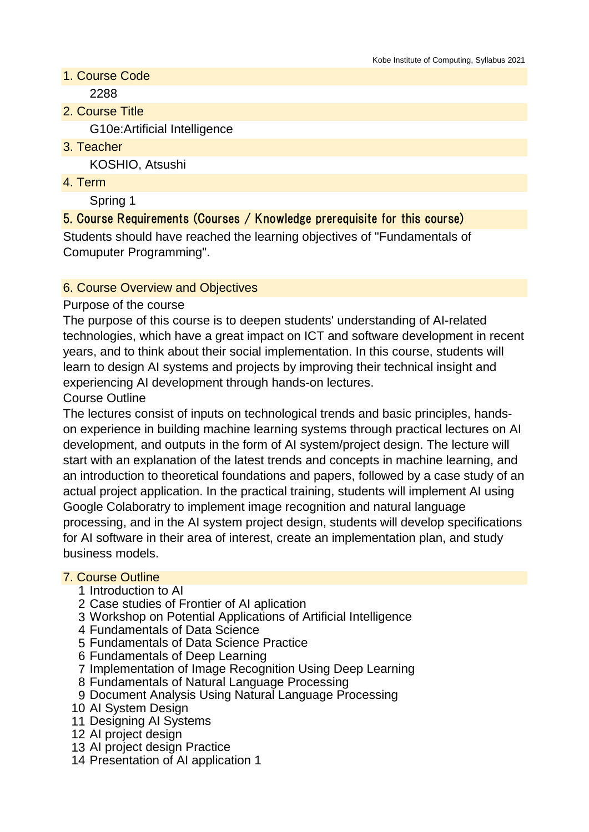- 1. Course Code 2288
- 2. Course Title

G10e:Artificial Intelligence

3. Teacher

KOSHIO, Atsushi

4. Term

Spring 1

# 5. Course Requirements (Courses / Knowledge prerequisite for this course)

Students should have reached the learning objectives of "Fundamentals of Comuputer Programming".

# 6. Course Overview and Objectives

#### Purpose of the course

The purpose of this course is to deepen students' understanding of AI-related technologies, which have a great impact on ICT and software development in recent years, and to think about their social implementation. In this course, students will learn to design AI systems and projects by improving their technical insight and experiencing AI development through hands-on lectures.

# Course Outline

The lectures consist of inputs on technological trends and basic principles, handson experience in building machine learning systems through practical lectures on AI development, and outputs in the form of AI system/project design. The lecture will start with an explanation of the latest trends and concepts in machine learning, and an introduction to theoretical foundations and papers, followed by a case study of an actual project application. In the practical training, students will implement AI using Google Colaboratry to implement image recognition and natural language processing, and in the AI system project design, students will develop specifications for AI software in their area of interest, create an implementation plan, and study business models.

#### 7. Course Outline

- 1 Introduction to AI
- 2 Case studies of Frontier of AI aplication
- 3 Workshop on Potential Applications of Artificial Intelligence
- 4 Fundamentals of Data Science
- 5 Fundamentals of Data Science Practice
- 6 Fundamentals of Deep Learning
- 7 Implementation of Image Recognition Using Deep Learning
- 8 Fundamentals of Natural Language Processing
- 9 Document Analysis Using Natural Language Processing
- 10 AI System Design
- 11 Designing AI Systems
- 12 AI project design
- 13 AI project design Practice
- 14 Presentation of AI application 1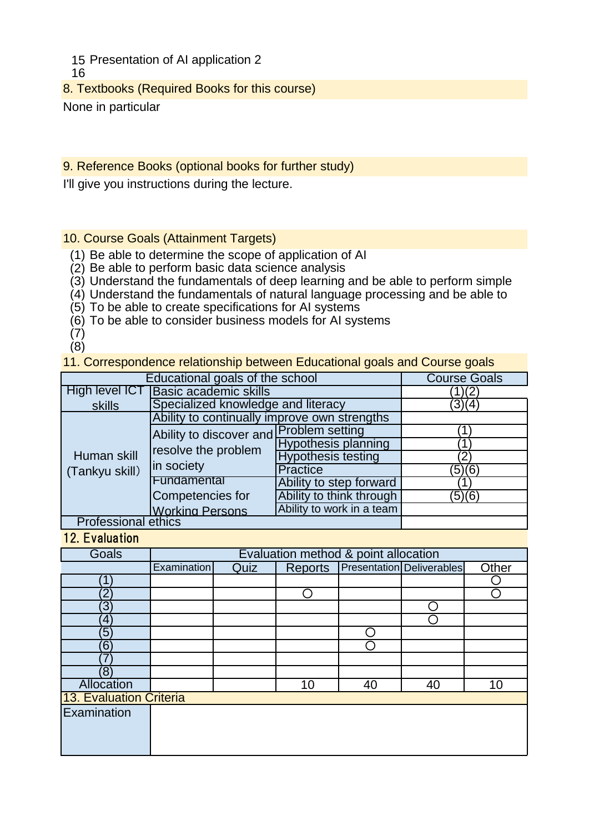15 Presentation of AI application 2

16

8. Textbooks (Required Books for this course)

None in particular

# 9. Reference Books (optional books for further study)

I'll give you instructions during the lecture.

#### 10. Course Goals (Attainment Targets)

- (1) Be able to determine the scope of application of AI
- (2) Be able to perform basic data science analysis
- (3) Understand the fundamentals of deep learning and be able to perform simple
- (4) Understand the fundamentals of natural language processing and be able to
- (5) To be able to create specifications for AI systems
- (6) To be able to consider business models for AI systems

(7) (8)

11. Correspondence relationship between Educational goals and Course goals

|                               | Educational goals of the school                                              |                            |        |
|-------------------------------|------------------------------------------------------------------------------|----------------------------|--------|
|                               | <b>Course Goals</b>                                                          |                            |        |
| High level ICT                | Basic academic skills                                                        |                            |        |
| skills                        | Specialized knowledge and literacy                                           | (3)(4)                     |        |
| Human skill<br>(Tankyu skill) | Ability to continually improve own strengths                                 |                            |        |
|                               | Ability to discover and Problem setting<br>resolve the problem<br>in society |                            |        |
|                               |                                                                              | <b>Hypothesis planning</b> |        |
|                               |                                                                              | <b>Hypothesis testing</b>  | 2      |
|                               |                                                                              | <b>Practice</b>            | (5)(6) |
|                               | Fundamental                                                                  | Ability to step forward    |        |
|                               | Competencies for                                                             | Ability to think through   | (5)(6) |
|                               | <b>Working Persons</b>                                                       | Ability to work in a team  |        |
| <b>Professional ethics</b>    |                                                                              |                            |        |

#### 12. Evaluation

| Goals                   | Evaluation method & point allocation |      |         |    |                                  |       |
|-------------------------|--------------------------------------|------|---------|----|----------------------------------|-------|
|                         | Examination                          | Quiz | Reports |    | <b>Presentation Deliverables</b> | Other |
|                         |                                      |      |         |    |                                  |       |
| 2                       |                                      |      |         |    |                                  |       |
| $\overline{3}$          |                                      |      |         |    |                                  |       |
| 4                       |                                      |      |         |    |                                  |       |
| $\sqrt[6]{5}$           |                                      |      |         |    |                                  |       |
| $6^{\circ}$             |                                      |      |         |    |                                  |       |
|                         |                                      |      |         |    |                                  |       |
| $\left(8\right)$        |                                      |      |         |    |                                  |       |
| Allocation              |                                      |      | 10      | 40 | 40                               | 10    |
| 13. Evaluation Criteria |                                      |      |         |    |                                  |       |
| Examination             |                                      |      |         |    |                                  |       |
|                         |                                      |      |         |    |                                  |       |
|                         |                                      |      |         |    |                                  |       |
|                         |                                      |      |         |    |                                  |       |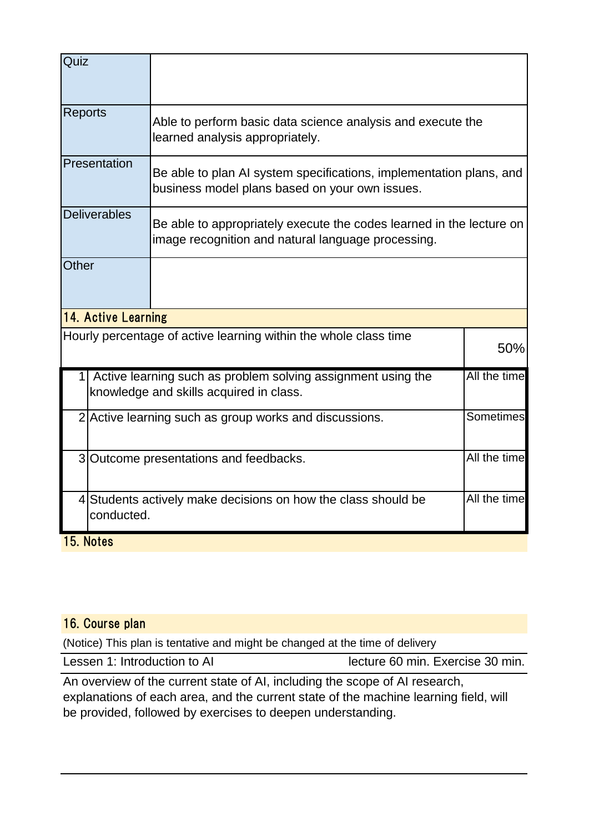| Quiz           |                                                                                                                                                   |                                                                                                                       |                  |  |  |  |
|----------------|---------------------------------------------------------------------------------------------------------------------------------------------------|-----------------------------------------------------------------------------------------------------------------------|------------------|--|--|--|
| <b>Reports</b> |                                                                                                                                                   | Able to perform basic data science analysis and execute the<br>learned analysis appropriately.                        |                  |  |  |  |
|                | Presentation                                                                                                                                      | Be able to plan AI system specifications, implementation plans, and<br>business model plans based on your own issues. |                  |  |  |  |
|                | <b>Deliverables</b><br>Be able to appropriately execute the codes learned in the lecture on<br>image recognition and natural language processing. |                                                                                                                       |                  |  |  |  |
| Other          |                                                                                                                                                   |                                                                                                                       |                  |  |  |  |
|                | 14. Active Learning                                                                                                                               |                                                                                                                       |                  |  |  |  |
|                |                                                                                                                                                   | Hourly percentage of active learning within the whole class time                                                      | 50%              |  |  |  |
|                |                                                                                                                                                   | Active learning such as problem solving assignment using the<br>knowledge and skills acquired in class.               | All the time     |  |  |  |
|                |                                                                                                                                                   | 2 Active learning such as group works and discussions.                                                                | <b>Sometimes</b> |  |  |  |
|                | 3 Outcome presentations and feedbacks.                                                                                                            |                                                                                                                       | All the time     |  |  |  |
|                | conducted.                                                                                                                                        | 4 Students actively make decisions on how the class should be                                                         | All the time     |  |  |  |
| 15. Notes      |                                                                                                                                                   |                                                                                                                       |                  |  |  |  |

# 16. Course plan

(Notice) This plan is tentative and might be changed at the time of delivery

Lessen 1: Introduction to AI lecture 60 min. Exercise 30 min.

An overview of the current state of AI, including the scope of AI research, explanations of each area, and the current state of the machine learning field, will be provided, followed by exercises to deepen understanding.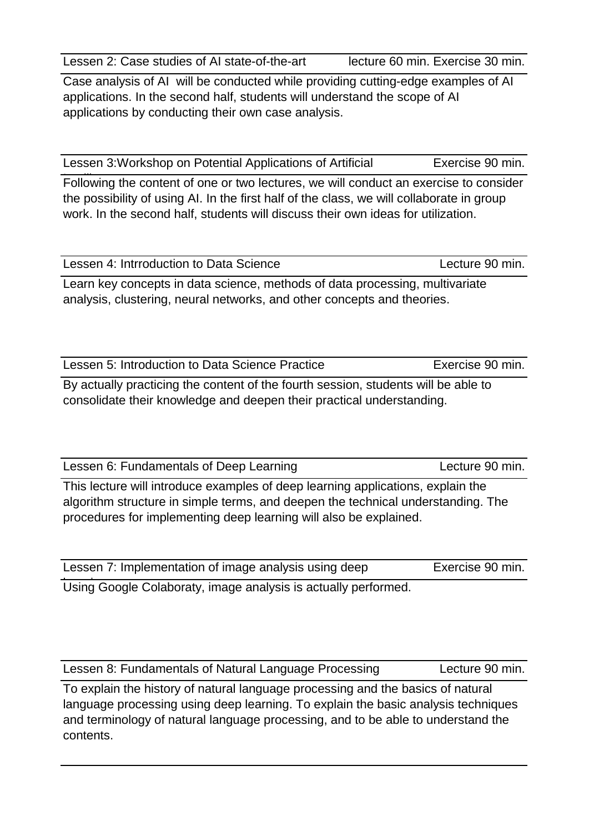Lessen 2: Case studies of AI state-of-the-art lecture 60 min. Exercise 30 min.

Case analysis of AI will be conducted while providing cutting-edge examples of AI applications. In the second half, students will understand the scope of AI applications by conducting their own case analysis.

Lessen 3:Workshop on Potential Applications of Artificial Exercise 90 min.

Intelligence Following the content of one or two lectures, we will conduct an exercise to consider the possibility of using AI. In the first half of the class, we will collaborate in group work. In the second half, students will discuss their own ideas for utilization.

Learn key concepts in data science, methods of data processing, multivariate analysis, clustering, neural networks, and other concepts and theories.

Lessen 5: Introduction to Data Science Practice **Exercise 90 min.** 

By actually practicing the content of the fourth session, students will be able to consolidate their knowledge and deepen their practical understanding.

Lessen 6: Fundamentals of Deep Learning Lecture 90 min.

This lecture will introduce examples of deep learning applications, explain the algorithm structure in simple terms, and deepen the technical understanding. The procedures for implementing deep learning will also be explained.

| Lessen 7: Implementation of image analysis using deep          | Exercise 90 min. |
|----------------------------------------------------------------|------------------|
| Using Google Colaboraty, image analysis is actually performed. |                  |

Lessen 8: Fundamentals of Natural Language Processing Lecture 90 min.

To explain the history of natural language processing and the basics of natural language processing using deep learning. To explain the basic analysis techniques and terminology of natural language processing, and to be able to understand the contents.